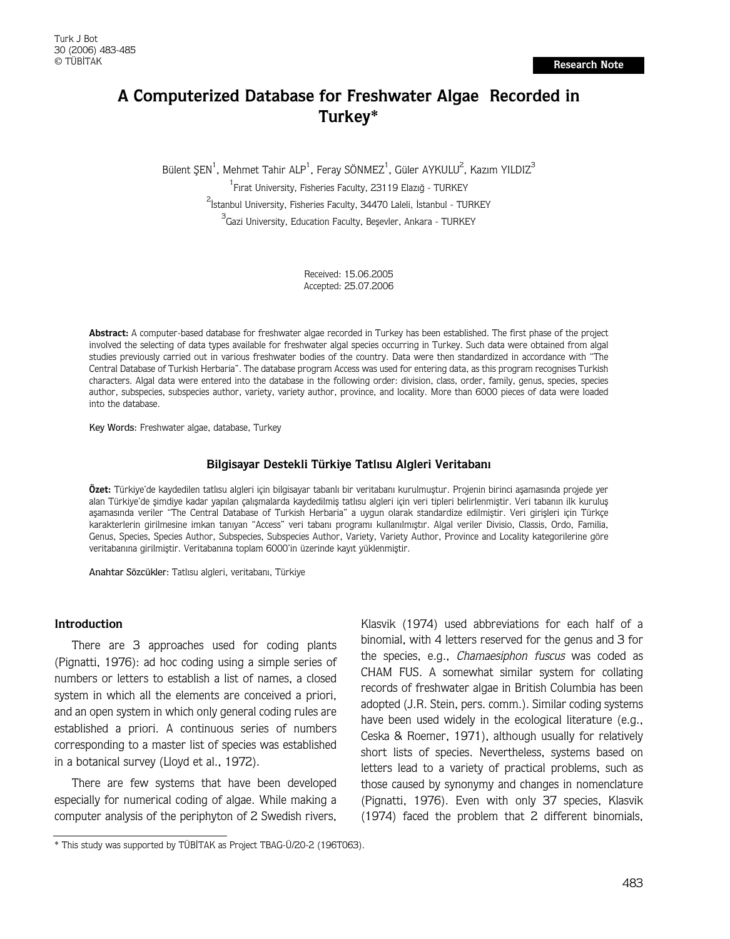# **A Computerized Database for Freshwater Algae Recorded in Turkey\***

Bülent ŞEN<sup>1</sup>, Mehmet Tahir ALP<sup>1</sup>, Feray SÖNMEZ<sup>1</sup>, Güler AYKULU<sup>2</sup>, Kazım YILDIZ<sup>3</sup> <sup>1</sup> Fırat University, Fisheries Faculty, 23119 Elazığ - TURKEY <sup>2</sup><br>İstanbul University, Fisheries Faculty, 34470 Laleli, İstanbul - TURKEY <sup>3</sup>Gazi University, Education Faculty, Beşevler, Ankara - TURKEY

> Received: 15.06.2005 Accepted: 25.07.2006

**Abstract:** A computer-based database for freshwater algae recorded in Turkey has been established. The first phase of the project involved the selecting of data types available for freshwater algal species occurring in Turkey. Such data were obtained from algal studies previously carried out in various freshwater bodies of the country. Data were then standardized in accordance with "The Central Database of Turkish Herbaria". The database program Access was used for entering data, as this program recognises Turkish characters. Algal data were entered into the database in the following order: division, class, order, family, genus, species, species author, subspecies, subspecies author, variety, variety author, province, and locality. More than 6000 pieces of data were loaded into the database.

Key Words: Freshwater algae, database, Turkey

### Bilgisayar Destekli Türkiye Tatlısu Algleri Veritabanı

Özet: Türkiye'de kaydedilen tatlısu algleri için bilgisayar tabanlı bir veritabanı kurulmustur. Projenin birinci asamasında projede yer alan Türkiye'de şimdiye kadar yapılan çalışmalarda kaydedilmiş tatlısu algleri için veri tipleri belirlenmiştir. Veri tabanın ilk kuruluş aşamasında veriler "The Central Database of Turkish Herbaria" a uygun olarak standardize edilmiştir. Veri girişleri için Türkçe karakterlerin girilmesine imkan tanıyan "Access" veri tabanı programı kullanılmıştır. Algal veriler Divisio, Classis, Ordo, Familia, Genus, Species, Species Author, Subspecies, Subspecies Author, Variety, Variety Author, Province and Locality kategorilerine göre veritabanına girilmiştir. Veritabanına toplam 6000'in üzerinde kayıt yüklenmiştir.

Anahtar Sözcükler: Tatlısu algleri, veritabanı, Türkiye

### **Introduction**

There are 3 approaches used for coding plants (Pignatti, 1976): ad hoc coding using a simple series of numbers or letters to establish a list of names, a closed system in which all the elements are conceived a priori, and an open system in which only general coding rules are established a priori. A continuous series of numbers corresponding to a master list of species was established in a botanical survey (Lloyd et al., 1972).

There are few systems that have been developed especially for numerical coding of algae. While making a computer analysis of the periphyton of 2 Swedish rivers,

Klasvik (1974) used abbreviations for each half of a binomial, with 4 letters reserved for the genus and 3 for the species, e.g., Chamaesiphon fuscus was coded as CHAM FUS. A somewhat similar system for collating records of freshwater algae in British Columbia has been adopted (J.R. Stein, pers. comm.). Similar coding systems have been used widely in the ecological literature (e.g., Ceska & Roemer, 1971), although usually for relatively short lists of species. Nevertheless, systems based on letters lead to a variety of practical problems, such as those caused by synonymy and changes in nomenclature (Pignatti, 1976). Even with only 37 species, Klasvik (1974) faced the problem that 2 different binomials,

<sup>\*</sup> This study was supported by TÜBİTAK as Project TBAG-Ü/20-2 (196T063).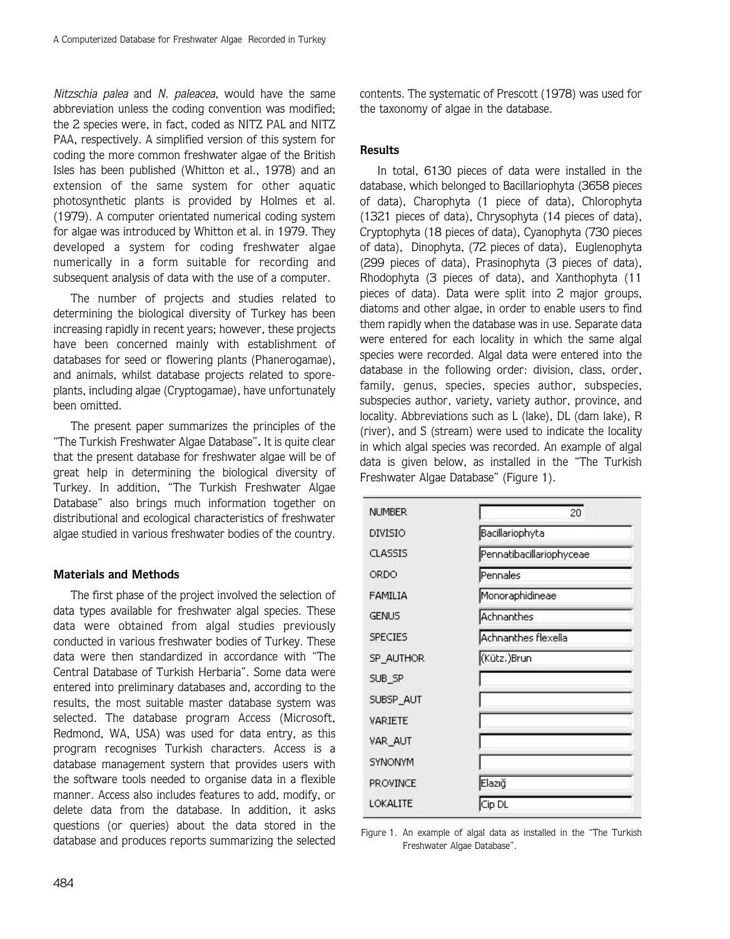Nitzschia palea and N. paleacea, would have the same abbreviation unless the coding convention was modified; the 2 species were, in fact, coded as NITZ PAL and NITZ PAA, respectively. A simplified version of this system for coding the more common freshwater algae of the British Isles has been published (Whitton et al., 1978) and an extension of the same system for other aquatic photosynthetic plants is provided by Holmes et al. (1979). A computer orientated numerical coding system for algae was introduced by Whitton et al. in 1979. They developed a system for coding freshwater algae numerically in a form suitable for recording and subsequent analysis of data with the use of a computer.

The number of projects and studies related to determining the biological diversity of Turkey has been increasing rapidly in recent years; however, these projects have been concerned mainly with establishment of databases for seed or flowering plants (Phanerogamae), and animals, whilst database projects related to sporeplants, including algae (Cryptogamae), have unfortunately been omitted.

The present paper summarizes the principles of the "The Turkish Freshwater Algae Database". It is quite clear that the present database for freshwater algae will be of great help in determining the biological diversity of Turkey. In addition, "The Turkish Freshwater Algae Database" also brings much information together on distributional and ecological characteristics of freshwater algae studied in various freshwater bodies of the country.

## **Materials and Methods**

The first phase of the project involved the selection of data types available for freshwater algal species. These data were obtained from algal studies previously conducted in various freshwater bodies of Turkey. These data were then standardized in accordance with "The Central Database of Turkish Herbaria". Some data were entered into preliminary databases and, according to the results, the most suitable master database system was selected. The database program Access (Microsoft, Redmond, WA, USA) was used for data entry, as this program recognises Turkish characters. Access is a database management system that provides users with the software tools needed to organise data in a flexible manner. Access also includes features to add, modify, or delete data from the database. In addition, it asks questions (or queries) about the data stored in the database and produces reports summarizing the selected

484

contents. The systematic of Prescott (1978) was used for the taxonomy of algae in the database.

### **Results**

In total, 6130 pieces of data were installed in the database, which belonged to Bacillariophyta (3658 pieces of data), Charophyta (1 piece of data), Chlorophyta (1321 pieces of data), Chrysophyta (14 pieces of data), Cryptophyta (18 pieces of data), Cyanophyta (730 pieces of data), Dinophyta, (72 pieces of data), Euglenophyta (299 pieces of data), Prasinophyta (3 pieces of data), Rhodophyta (3 pieces of data), and Xanthophyta (11 pieces of data). Data were split into 2 major groups, diatoms and other algae, in order to enable users to find them rapidly when the database was in use. Separate data were entered for each locality in which the same algal species were recorded. Algal data were entered into the database in the following order: division, class, order, family, genus, species, species author, subspecies, subspecies author, variety, variety author, province, and locality. Abbreviations such as L (lake), DL (dam lake), R (river), and S (stream) were used to indicate the locality in which algal species was recorded. An example of algal data is given below, as installed in the "The Turkish Freshwater Algae Database" (Figure 1).

| <b>NUMBER</b>   | 20                       |
|-----------------|--------------------------|
| DIVISIO         | Bacillariophyta          |
| CLASSIS         | Pennatibacillariophyceae |
| ORDO            | Pennales                 |
| FAMILIA         | Monoraphidineae          |
| <b>GENUS</b>    | Achnanthes               |
| <b>SPECIES</b>  | Achnanthes flexella      |
| SP_AUTHOR       | (Kütz.)Brun              |
| SUB_SP          |                          |
| SUBSP_AUT       |                          |
| VARIETE         |                          |
| VAR_AUT         |                          |
| <b>SYNONYM</b>  |                          |
| <b>PROVINCE</b> | Elazığ                   |
| LOKALITE        | Cip DL                   |

Figure 1. An example of algal data as installed in the "The Turkish Freshwater Algae Database".